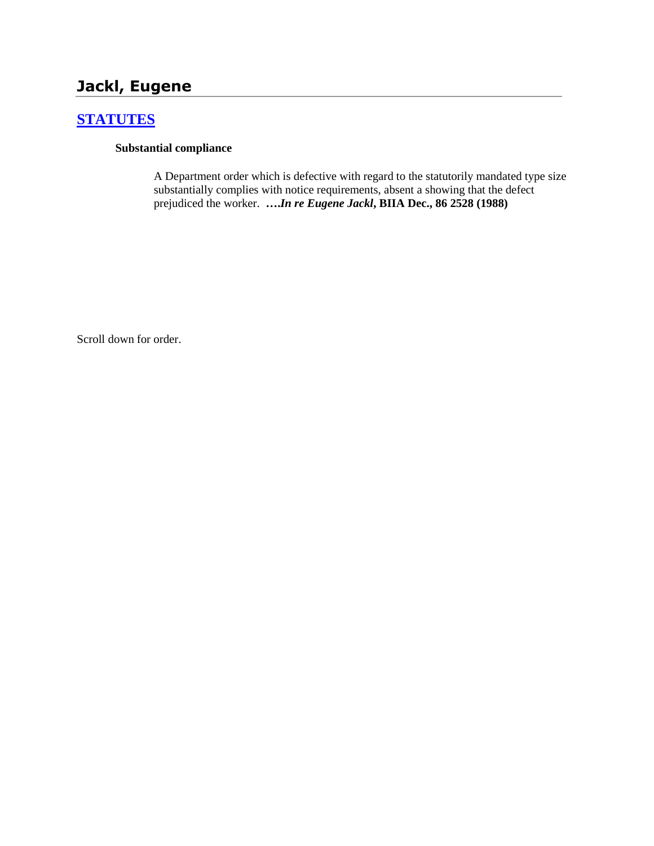# **Jackl, Eugene**

# **[STATUTES](http://www.biia.wa.gov/SDSubjectIndex.html#STATUTES)**

### **Substantial compliance**

A Department order which is defective with regard to the statutorily mandated type size substantially complies with notice requirements, absent a showing that the defect prejudiced the worker. **….***In re Eugene Jackl***, BIIA Dec., 86 2528 (1988)**

Scroll down for order.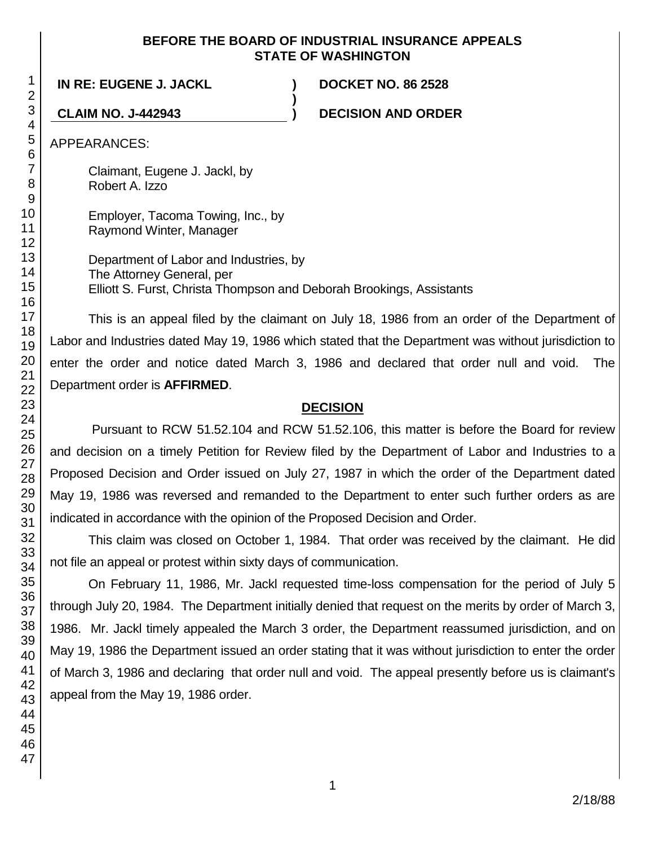### **BEFORE THE BOARD OF INDUSTRIAL INSURANCE APPEALS STATE OF WASHINGTON**

**)**

**IN RE: EUGENE J. JACKL ) DOCKET NO. 86 2528**

**CLAIM NO. J-442943 ) DECISION AND ORDER**

APPEARANCES:

Claimant, Eugene J. Jackl, by Robert A. Izzo

Employer, Tacoma Towing, Inc., by Raymond Winter, Manager

Department of Labor and Industries, by The Attorney General, per Elliott S. Furst, Christa Thompson and Deborah Brookings, Assistants

This is an appeal filed by the claimant on July 18, 1986 from an order of the Department of Labor and Industries dated May 19, 1986 which stated that the Department was without jurisdiction to enter the order and notice dated March 3, 1986 and declared that order null and void. The Department order is **AFFIRMED**.

## **DECISION**

Pursuant to RCW 51.52.104 and RCW 51.52.106, this matter is before the Board for review and decision on a timely Petition for Review filed by the Department of Labor and Industries to a Proposed Decision and Order issued on July 27, 1987 in which the order of the Department dated May 19, 1986 was reversed and remanded to the Department to enter such further orders as are indicated in accordance with the opinion of the Proposed Decision and Order.

This claim was closed on October 1, 1984. That order was received by the claimant. He did not file an appeal or protest within sixty days of communication.

On February 11, 1986, Mr. Jackl requested time-loss compensation for the period of July 5 through July 20, 1984. The Department initially denied that request on the merits by order of March 3, 1986. Mr. Jackl timely appealed the March 3 order, the Department reassumed jurisdiction, and on May 19, 1986 the Department issued an order stating that it was without jurisdiction to enter the order of March 3, 1986 and declaring that order null and void. The appeal presently before us is claimant's appeal from the May 19, 1986 order.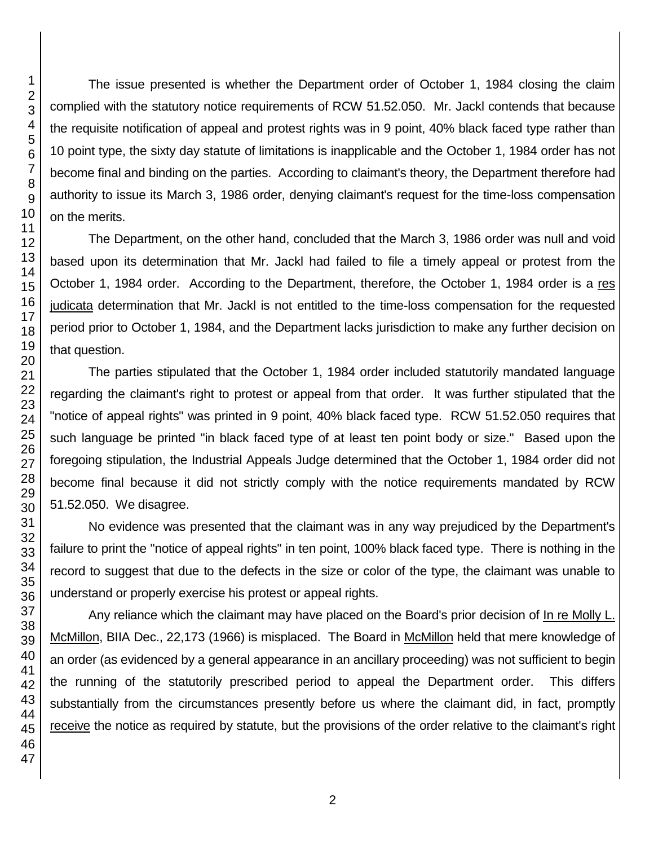The issue presented is whether the Department order of October 1, 1984 closing the claim complied with the statutory notice requirements of RCW 51.52.050. Mr. Jackl contends that because the requisite notification of appeal and protest rights was in 9 point, 40% black faced type rather than 10 point type, the sixty day statute of limitations is inapplicable and the October 1, 1984 order has not become final and binding on the parties. According to claimant's theory, the Department therefore had authority to issue its March 3, 1986 order, denying claimant's request for the time-loss compensation on the merits.

The Department, on the other hand, concluded that the March 3, 1986 order was null and void based upon its determination that Mr. Jackl had failed to file a timely appeal or protest from the October 1, 1984 order. According to the Department, therefore, the October 1, 1984 order is a res judicata determination that Mr. Jackl is not entitled to the time-loss compensation for the requested period prior to October 1, 1984, and the Department lacks jurisdiction to make any further decision on that question.

The parties stipulated that the October 1, 1984 order included statutorily mandated language regarding the claimant's right to protest or appeal from that order. It was further stipulated that the "notice of appeal rights" was printed in 9 point, 40% black faced type. RCW 51.52.050 requires that such language be printed "in black faced type of at least ten point body or size." Based upon the foregoing stipulation, the Industrial Appeals Judge determined that the October 1, 1984 order did not become final because it did not strictly comply with the notice requirements mandated by RCW 51.52.050. We disagree.

No evidence was presented that the claimant was in any way prejudiced by the Department's failure to print the "notice of appeal rights" in ten point, 100% black faced type. There is nothing in the record to suggest that due to the defects in the size or color of the type, the claimant was unable to understand or properly exercise his protest or appeal rights.

Any reliance which the claimant may have placed on the Board's prior decision of In re Molly L. McMillon, BIIA Dec., 22,173 (1966) is misplaced. The Board in McMillon held that mere knowledge of an order (as evidenced by a general appearance in an ancillary proceeding) was not sufficient to begin the running of the statutorily prescribed period to appeal the Department order. This differs substantially from the circumstances presently before us where the claimant did, in fact, promptly receive the notice as required by statute, but the provisions of the order relative to the claimant's right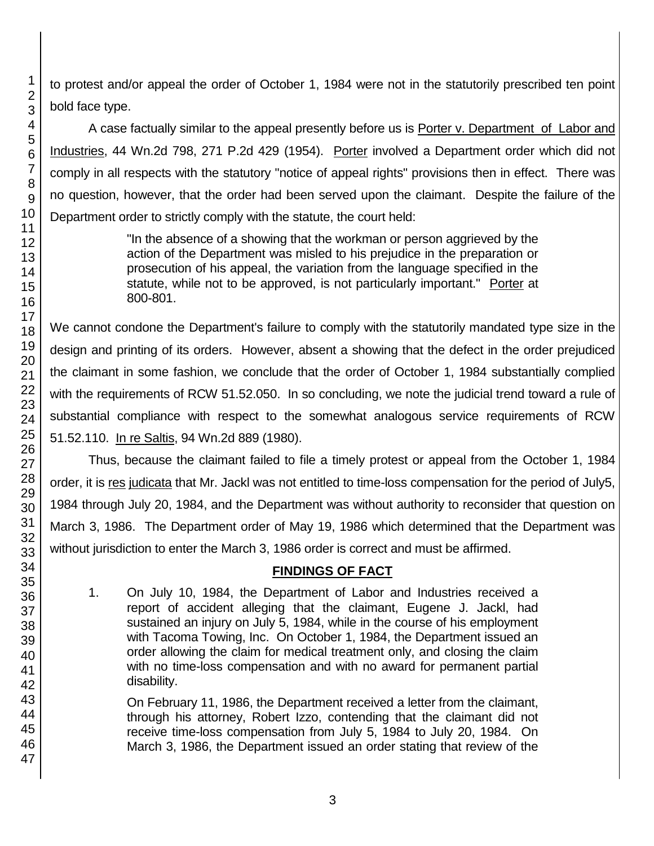to protest and/or appeal the order of October 1, 1984 were not in the statutorily prescribed ten point bold face type.

A case factually similar to the appeal presently before us is Porter v. Department of Labor and Industries, 44 Wn.2d 798, 271 P.2d 429 (1954). Porter involved a Department order which did not comply in all respects with the statutory "notice of appeal rights" provisions then in effect. There was no question, however, that the order had been served upon the claimant. Despite the failure of the Department order to strictly comply with the statute, the court held:

> "In the absence of a showing that the workman or person aggrieved by the action of the Department was misled to his prejudice in the preparation or prosecution of his appeal, the variation from the language specified in the statute, while not to be approved, is not particularly important." Porter at 800-801.

We cannot condone the Department's failure to comply with the statutorily mandated type size in the design and printing of its orders. However, absent a showing that the defect in the order prejudiced the claimant in some fashion, we conclude that the order of October 1, 1984 substantially complied with the requirements of RCW 51.52.050. In so concluding, we note the judicial trend toward a rule of substantial compliance with respect to the somewhat analogous service requirements of RCW 51.52.110. In re Saltis, 94 Wn.2d 889 (1980).

Thus, because the claimant failed to file a timely protest or appeal from the October 1, 1984 order, it is res judicata that Mr. Jackl was not entitled to time-loss compensation for the period of July5, 1984 through July 20, 1984, and the Department was without authority to reconsider that question on March 3, 1986. The Department order of May 19, 1986 which determined that the Department was without jurisdiction to enter the March 3, 1986 order is correct and must be affirmed.

## **FINDINGS OF FACT**

1. On July 10, 1984, the Department of Labor and Industries received a report of accident alleging that the claimant, Eugene J. Jackl, had sustained an injury on July 5, 1984, while in the course of his employment with Tacoma Towing, Inc. On October 1, 1984, the Department issued an order allowing the claim for medical treatment only, and closing the claim with no time-loss compensation and with no award for permanent partial disability.

On February 11, 1986, the Department received a letter from the claimant, through his attorney, Robert Izzo, contending that the claimant did not receive time-loss compensation from July 5, 1984 to July 20, 1984. On March 3, 1986, the Department issued an order stating that review of the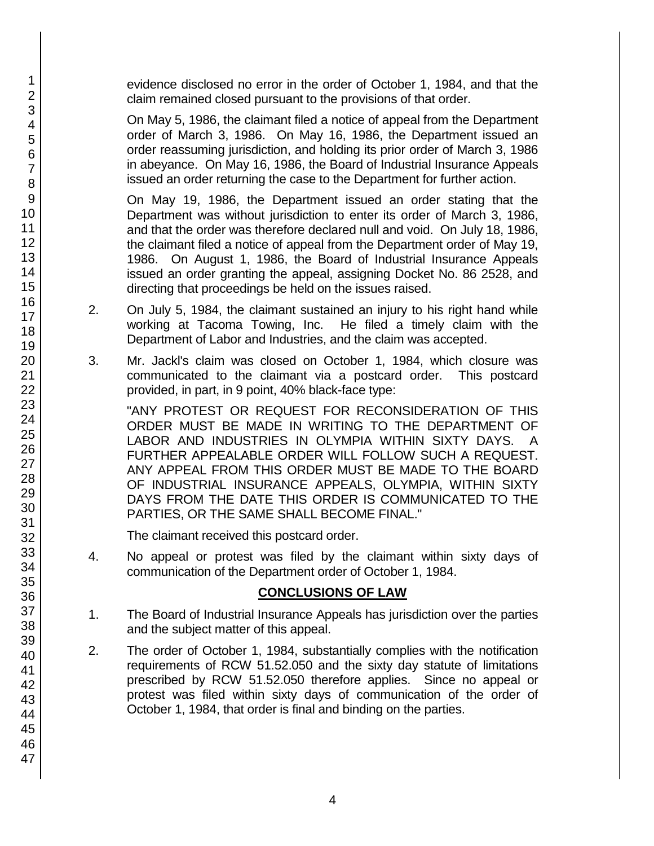evidence disclosed no error in the order of October 1, 1984, and that the claim remained closed pursuant to the provisions of that order.

On May 5, 1986, the claimant filed a notice of appeal from the Department order of March 3, 1986. On May 16, 1986, the Department issued an order reassuming jurisdiction, and holding its prior order of March 3, 1986 in abeyance. On May 16, 1986, the Board of Industrial Insurance Appeals issued an order returning the case to the Department for further action.

On May 19, 1986, the Department issued an order stating that the Department was without jurisdiction to enter its order of March 3, 1986, and that the order was therefore declared null and void. On July 18, 1986, the claimant filed a notice of appeal from the Department order of May 19, 1986. On August 1, 1986, the Board of Industrial Insurance Appeals issued an order granting the appeal, assigning Docket No. 86 2528, and directing that proceedings be held on the issues raised.

- 2. On July 5, 1984, the claimant sustained an injury to his right hand while working at Tacoma Towing, Inc. He filed a timely claim with the Department of Labor and Industries, and the claim was accepted.
- 3. Mr. Jackl's claim was closed on October 1, 1984, which closure was communicated to the claimant via a postcard order. This postcard provided, in part, in 9 point, 40% black-face type:

"ANY PROTEST OR REQUEST FOR RECONSIDERATION OF THIS ORDER MUST BE MADE IN WRITING TO THE DEPARTMENT OF LABOR AND INDUSTRIES IN OLYMPIA WITHIN SIXTY DAYS. A FURTHER APPEALABLE ORDER WILL FOLLOW SUCH A REQUEST. ANY APPEAL FROM THIS ORDER MUST BE MADE TO THE BOARD OF INDUSTRIAL INSURANCE APPEALS, OLYMPIA, WITHIN SIXTY DAYS FROM THE DATE THIS ORDER IS COMMUNICATED TO THE PARTIES, OR THE SAME SHALL BECOME FINAL."

The claimant received this postcard order.

4. No appeal or protest was filed by the claimant within sixty days of communication of the Department order of October 1, 1984.

## **CONCLUSIONS OF LAW**

- 1. The Board of Industrial Insurance Appeals has jurisdiction over the parties and the subject matter of this appeal.
- 2. The order of October 1, 1984, substantially complies with the notification requirements of RCW 51.52.050 and the sixty day statute of limitations prescribed by RCW 51.52.050 therefore applies. Since no appeal or protest was filed within sixty days of communication of the order of October 1, 1984, that order is final and binding on the parties.

1